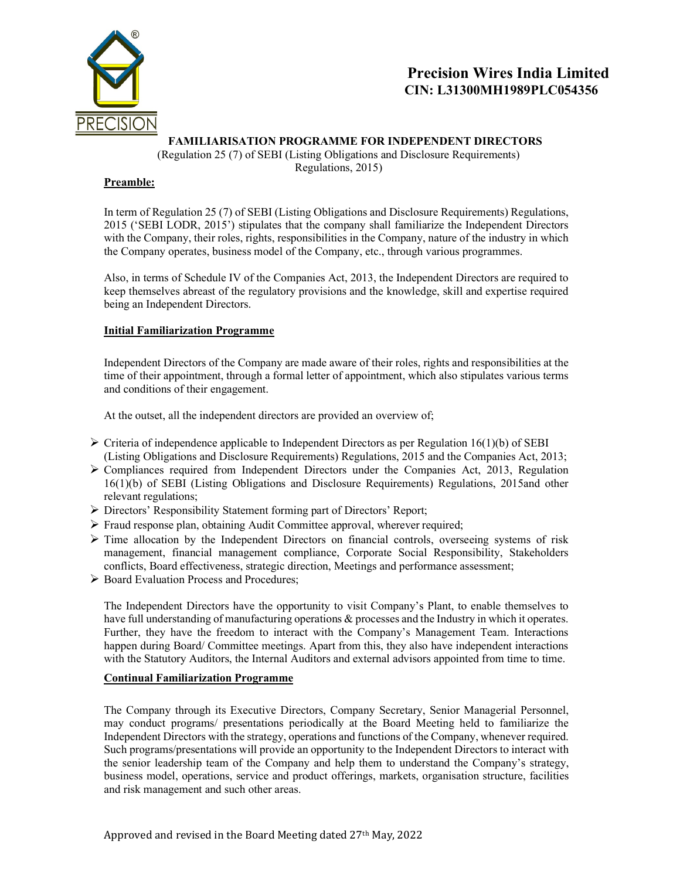

# Precision Wires India Limited CIN: L31300MH1989PLC054356

### FAMILIARISATION PROGRAMME FOR INDEPENDENT DIRECTORS

(Regulation 25 (7) of SEBI (Listing Obligations and Disclosure Requirements) Regulations, 2015)

#### Preamble:

In term of Regulation 25 (7) of SEBI (Listing Obligations and Disclosure Requirements) Regulations, 2015 ('SEBI LODR, 2015') stipulates that the company shall familiarize the Independent Directors with the Company, their roles, rights, responsibilities in the Company, nature of the industry in which the Company operates, business model of the Company, etc., through various programmes.

Also, in terms of Schedule IV of the Companies Act, 2013, the Independent Directors are required to keep themselves abreast of the regulatory provisions and the knowledge, skill and expertise required being an Independent Directors.

### Initial Familiarization Programme

Independent Directors of the Company are made aware of their roles, rights and responsibilities at the time of their appointment, through a formal letter of appointment, which also stipulates various terms and conditions of their engagement.

At the outset, all the independent directors are provided an overview of;

- $\triangleright$  Criteria of independence applicable to Independent Directors as per Regulation 16(1)(b) of SEBI (Listing Obligations and Disclosure Requirements) Regulations, 2015 and the Companies Act, 2013;
- Compliances required from Independent Directors under the Companies Act, 2013, Regulation 16(1)(b) of SEBI (Listing Obligations and Disclosure Requirements) Regulations, 2015and other relevant regulations;
- Directors' Responsibility Statement forming part of Directors' Report;
- Fraud response plan, obtaining Audit Committee approval, wherever required;
- $\triangleright$  Time allocation by the Independent Directors on financial controls, overseeing systems of risk management, financial management compliance, Corporate Social Responsibility, Stakeholders conflicts, Board effectiveness, strategic direction, Meetings and performance assessment;
- ▶ Board Evaluation Process and Procedures;

The Independent Directors have the opportunity to visit Company's Plant, to enable themselves to have full understanding of manufacturing operations & processes and the Industry in which it operates. Further, they have the freedom to interact with the Company's Management Team. Interactions happen during Board/ Committee meetings. Apart from this, they also have independent interactions with the Statutory Auditors, the Internal Auditors and external advisors appointed from time to time.

#### Continual Familiarization Programme

The Company through its Executive Directors, Company Secretary, Senior Managerial Personnel, may conduct programs/ presentations periodically at the Board Meeting held to familiarize the Independent Directors with the strategy, operations and functions of the Company, whenever required. Such programs/presentations will provide an opportunity to the Independent Directors to interact with the senior leadership team of the Company and help them to understand the Company's strategy, business model, operations, service and product offerings, markets, organisation structure, facilities and risk management and such other areas.